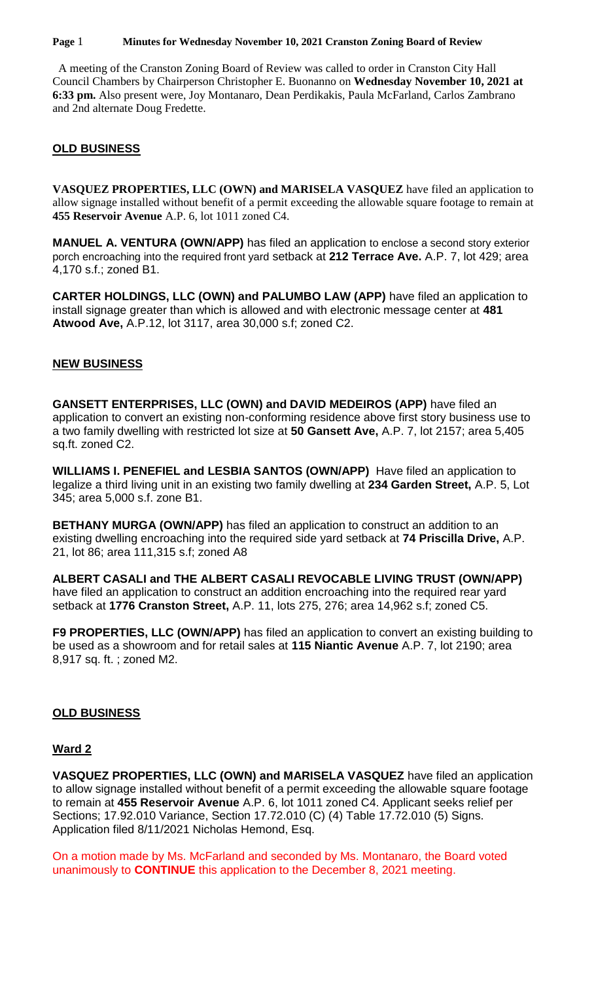#### **Page** 1 **Minutes for Wednesday November 10, 2021 Cranston Zoning Board of Review**

 A meeting of the Cranston Zoning Board of Review was called to order in Cranston City Hall Council Chambers by Chairperson Christopher E. Buonanno on **Wednesday November 10, 2021 at 6:33 pm.** Also present were, Joy Montanaro, Dean Perdikakis, Paula McFarland, Carlos Zambrano and 2nd alternate Doug Fredette.

## **OLD BUSINESS**

**VASQUEZ PROPERTIES, LLC (OWN) and MARISELA VASQUEZ** have filed an application to allow signage installed without benefit of a permit exceeding the allowable square footage to remain at **455 Reservoir Avenue** A.P. 6, lot 1011 zoned C4.

**MANUEL A. VENTURA (OWN/APP)** has filed an application to enclose a second story exterior porch encroaching into the required front yard setback at **212 Terrace Ave.** A.P. 7, lot 429; area 4,170 s.f.; zoned B1.

**CARTER HOLDINGS, LLC (OWN) and PALUMBO LAW (APP)** have filed an application to install signage greater than which is allowed and with electronic message center at **481 Atwood Ave,** A.P.12, lot 3117, area 30,000 s.f; zoned C2.

#### **NEW BUSINESS**

**GANSETT ENTERPRISES, LLC (OWN) and DAVID MEDEIROS (APP)** have filed an application to convert an existing non-conforming residence above first story business use to a two family dwelling with restricted lot size at **50 Gansett Ave,** A.P. 7, lot 2157; area 5,405 sq.ft. zoned C2.

**WILLIAMS I. PENEFIEL and LESBIA SANTOS (OWN/APP)** Have filed an application to legalize a third living unit in an existing two family dwelling at **234 Garden Street,** A.P. 5, Lot 345; area 5,000 s.f. zone B1.

**BETHANY MURGA (OWN/APP)** has filed an application to construct an addition to an existing dwelling encroaching into the required side yard setback at **74 Priscilla Drive,** A.P. 21, lot 86; area 111,315 s.f; zoned A8

**ALBERT CASALI and THE ALBERT CASALI REVOCABLE LIVING TRUST (OWN/APP)**  have filed an application to construct an addition encroaching into the required rear yard setback at **1776 Cranston Street,** A.P. 11, lots 275, 276; area 14,962 s.f; zoned C5.

**F9 PROPERTIES, LLC (OWN/APP)** has filed an application to convert an existing building to be used as a showroom and for retail sales at **115 Niantic Avenue** A.P. 7, lot 2190; area 8,917 sq. ft. ; zoned M2.

#### **OLD BUSINESS**

#### **Ward 2**

**VASQUEZ PROPERTIES, LLC (OWN) and MARISELA VASQUEZ** have filed an application to allow signage installed without benefit of a permit exceeding the allowable square footage to remain at **455 Reservoir Avenue** A.P. 6, lot 1011 zoned C4. Applicant seeks relief per Sections; 17.92.010 Variance, Section 17.72.010 (C) (4) Table 17.72.010 (5) Signs. Application filed 8/11/2021 Nicholas Hemond, Esq.

On a motion made by Ms. McFarland and seconded by Ms. Montanaro, the Board voted unanimously to **CONTINUE** this application to the December 8, 2021 meeting.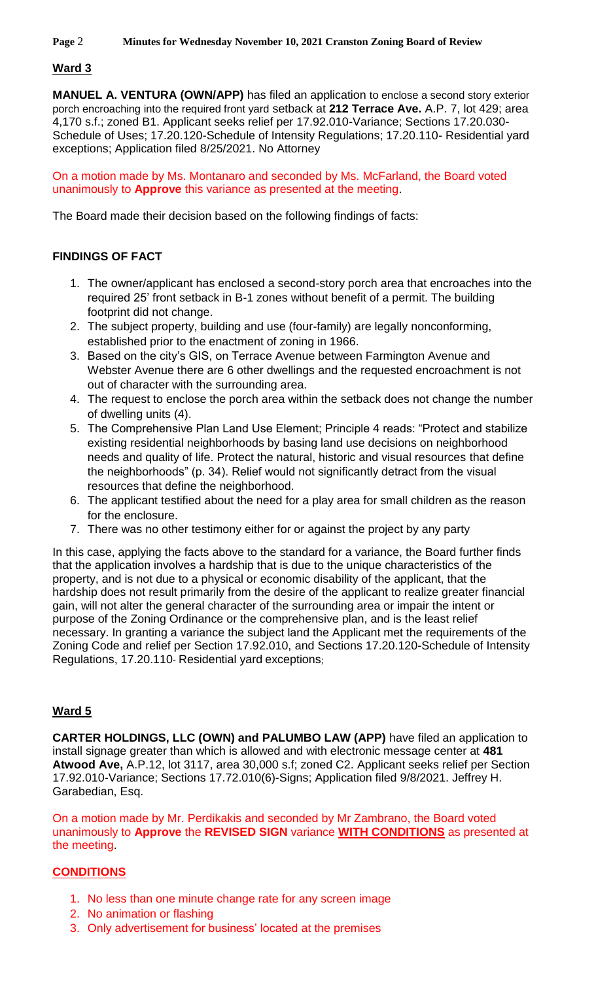# **Ward 3**

**MANUEL A. VENTURA (OWN/APP)** has filed an application to enclose a second story exterior porch encroaching into the required front yard setback at **212 Terrace Ave.** A.P. 7, lot 429; area 4,170 s.f.; zoned B1. Applicant seeks relief per 17.92.010-Variance; Sections 17.20.030- Schedule of Uses; 17.20.120-Schedule of Intensity Regulations; 17.20.110- Residential yard exceptions; Application filed 8/25/2021. No Attorney

On a motion made by Ms. Montanaro and seconded by Ms. McFarland, the Board voted unanimously to **Approve** this variance as presented at the meeting.

The Board made their decision based on the following findings of facts:

# **FINDINGS OF FACT**

- 1. The owner/applicant has enclosed a second-story porch area that encroaches into the required 25' front setback in B-1 zones without benefit of a permit. The building footprint did not change.
- 2. The subject property, building and use (four-family) are legally nonconforming, established prior to the enactment of zoning in 1966.
- 3. Based on the city's GIS, on Terrace Avenue between Farmington Avenue and Webster Avenue there are 6 other dwellings and the requested encroachment is not out of character with the surrounding area.
- 4. The request to enclose the porch area within the setback does not change the number of dwelling units (4).
- 5. The Comprehensive Plan Land Use Element; Principle 4 reads: "Protect and stabilize existing residential neighborhoods by basing land use decisions on neighborhood needs and quality of life. Protect the natural, historic and visual resources that define the neighborhoods" (p. 34). Relief would not significantly detract from the visual resources that define the neighborhood.
- 6. The applicant testified about the need for a play area for small children as the reason for the enclosure.
- 7. There was no other testimony either for or against the project by any party

In this case, applying the facts above to the standard for a variance, the Board further finds that the application involves a hardship that is due to the unique characteristics of the property, and is not due to a physical or economic disability of the applicant, that the hardship does not result primarily from the desire of the applicant to realize greater financial gain, will not alter the general character of the surrounding area or impair the intent or purpose of the Zoning Ordinance or the comprehensive plan, and is the least relief necessary. In granting a variance the subject land the Applicant met the requirements of the Zoning Code and relief per Section 17.92.010, and Sections 17.20.120-Schedule of Intensity Regulations, 17.20.110- Residential yard exceptions;

# **Ward 5**

**CARTER HOLDINGS, LLC (OWN) and PALUMBO LAW (APP)** have filed an application to install signage greater than which is allowed and with electronic message center at **481 Atwood Ave,** A.P.12, lot 3117, area 30,000 s.f; zoned C2. Applicant seeks relief per Section 17.92.010-Variance; Sections 17.72.010(6)-Signs; Application filed 9/8/2021. Jeffrey H. Garabedian, Esq.

On a motion made by Mr. Perdikakis and seconded by Mr Zambrano, the Board voted unanimously to **Approve** the **REVISED SIGN** variance **WITH CONDITIONS** as presented at the meeting.

# **CONDITIONS**

- 1. No less than one minute change rate for any screen image
- 2. No animation or flashing
- 3. Only advertisement for business' located at the premises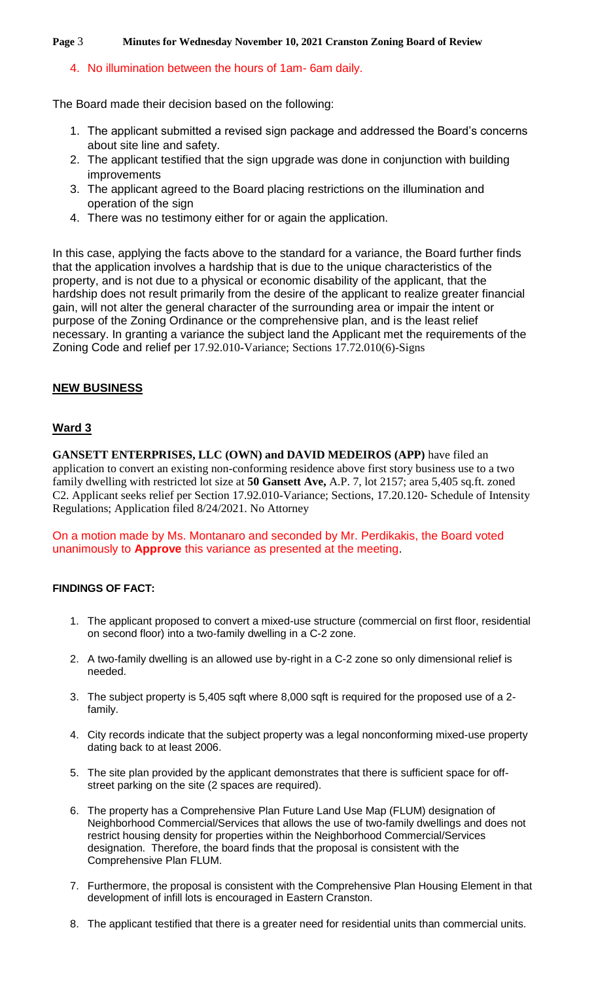#### **Page** 3 **Minutes for Wednesday November 10, 2021 Cranston Zoning Board of Review**

## 4. No illumination between the hours of 1am- 6am daily.

The Board made their decision based on the following:

- 1. The applicant submitted a revised sign package and addressed the Board's concerns about site line and safety.
- 2. The applicant testified that the sign upgrade was done in conjunction with building improvements
- 3. The applicant agreed to the Board placing restrictions on the illumination and operation of the sign
- 4. There was no testimony either for or again the application.

In this case, applying the facts above to the standard for a variance, the Board further finds that the application involves a hardship that is due to the unique characteristics of the property, and is not due to a physical or economic disability of the applicant, that the hardship does not result primarily from the desire of the applicant to realize greater financial gain, will not alter the general character of the surrounding area or impair the intent or purpose of the Zoning Ordinance or the comprehensive plan, and is the least relief necessary. In granting a variance the subject land the Applicant met the requirements of the Zoning Code and relief per 17.92.010-Variance; Sections 17.72.010(6)-Signs

## **NEW BUSINESS**

## **Ward 3**

**GANSETT ENTERPRISES, LLC (OWN) and DAVID MEDEIROS (APP)** have filed an application to convert an existing non-conforming residence above first story business use to a two family dwelling with restricted lot size at **50 Gansett Ave,** A.P. 7, lot 2157; area 5,405 sq.ft. zoned C2. Applicant seeks relief per Section 17.92.010-Variance; Sections, 17.20.120- Schedule of Intensity Regulations; Application filed 8/24/2021. No Attorney

On a motion made by Ms. Montanaro and seconded by Mr. Perdikakis, the Board voted unanimously to **Approve** this variance as presented at the meeting.

#### **FINDINGS OF FACT:**

- 1. The applicant proposed to convert a mixed-use structure (commercial on first floor, residential on second floor) into a two-family dwelling in a C-2 zone.
- 2. A two-family dwelling is an allowed use by-right in a C-2 zone so only dimensional relief is needed.
- 3. The subject property is 5,405 sqft where 8,000 sqft is required for the proposed use of a 2 family.
- 4. City records indicate that the subject property was a legal nonconforming mixed-use property dating back to at least 2006.
- 5. The site plan provided by the applicant demonstrates that there is sufficient space for offstreet parking on the site (2 spaces are required).
- 6. The property has a Comprehensive Plan Future Land Use Map (FLUM) designation of Neighborhood Commercial/Services that allows the use of two-family dwellings and does not restrict housing density for properties within the Neighborhood Commercial/Services designation. Therefore, the board finds that the proposal is consistent with the Comprehensive Plan FLUM.
- 7. Furthermore, the proposal is consistent with the Comprehensive Plan Housing Element in that development of infill lots is encouraged in Eastern Cranston.
- 8. The applicant testified that there is a greater need for residential units than commercial units.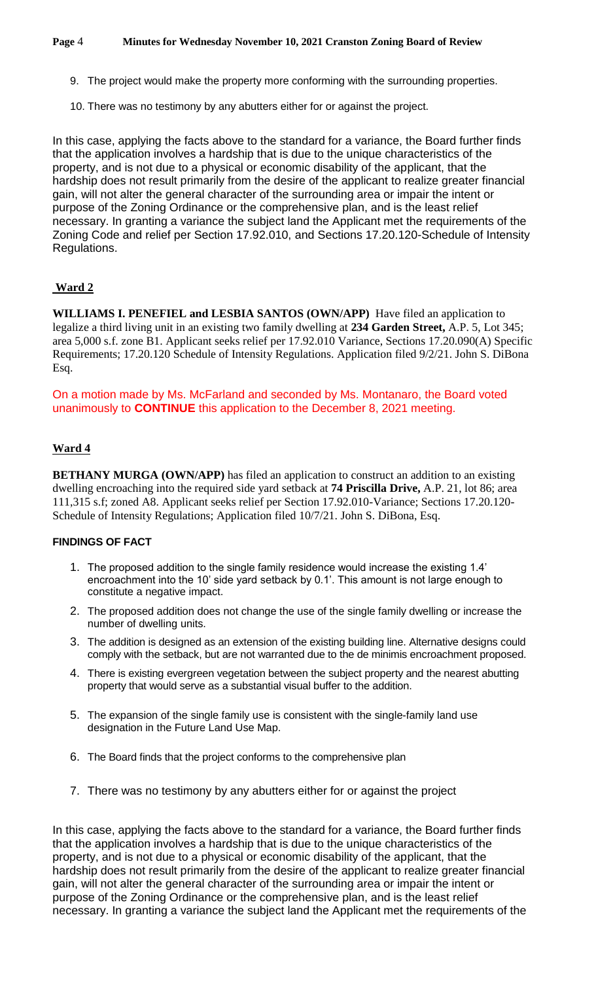- 9. The project would make the property more conforming with the surrounding properties.
- 10. There was no testimony by any abutters either for or against the project.

In this case, applying the facts above to the standard for a variance, the Board further finds that the application involves a hardship that is due to the unique characteristics of the property, and is not due to a physical or economic disability of the applicant, that the hardship does not result primarily from the desire of the applicant to realize greater financial gain, will not alter the general character of the surrounding area or impair the intent or purpose of the Zoning Ordinance or the comprehensive plan, and is the least relief necessary. In granting a variance the subject land the Applicant met the requirements of the Zoning Code and relief per Section 17.92.010, and Sections 17.20.120-Schedule of Intensity Regulations.

# **Ward 2**

**WILLIAMS I. PENEFIEL and LESBIA SANTOS (OWN/APP)** Have filed an application to legalize a third living unit in an existing two family dwelling at **234 Garden Street,** A.P. 5, Lot 345; area 5,000 s.f. zone B1. Applicant seeks relief per 17.92.010 Variance, Sections 17.20.090(A) Specific Requirements; 17.20.120 Schedule of Intensity Regulations. Application filed 9/2/21. John S. DiBona Esq.

On a motion made by Ms. McFarland and seconded by Ms. Montanaro, the Board voted unanimously to **CONTINUE** this application to the December 8, 2021 meeting.

#### **Ward 4**

**BETHANY MURGA (OWN/APP)** has filed an application to construct an addition to an existing dwelling encroaching into the required side yard setback at **74 Priscilla Drive,** A.P. 21, lot 86; area 111,315 s.f; zoned A8. Applicant seeks relief per Section 17.92.010-Variance; Sections 17.20.120- Schedule of Intensity Regulations; Application filed 10/7/21. John S. DiBona, Esq.

#### **FINDINGS OF FACT**

- 1. The proposed addition to the single family residence would increase the existing 1.4' encroachment into the 10' side yard setback by 0.1'. This amount is not large enough to constitute a negative impact.
- 2. The proposed addition does not change the use of the single family dwelling or increase the number of dwelling units.
- 3. The addition is designed as an extension of the existing building line. Alternative designs could comply with the setback, but are not warranted due to the de minimis encroachment proposed.
- 4. There is existing evergreen vegetation between the subject property and the nearest abutting property that would serve as a substantial visual buffer to the addition.
- 5. The expansion of the single family use is consistent with the single-family land use designation in the Future Land Use Map.
- 6. The Board finds that the project conforms to the comprehensive plan
- 7. There was no testimony by any abutters either for or against the project

In this case, applying the facts above to the standard for a variance, the Board further finds that the application involves a hardship that is due to the unique characteristics of the property, and is not due to a physical or economic disability of the applicant, that the hardship does not result primarily from the desire of the applicant to realize greater financial gain, will not alter the general character of the surrounding area or impair the intent or purpose of the Zoning Ordinance or the comprehensive plan, and is the least relief necessary. In granting a variance the subject land the Applicant met the requirements of the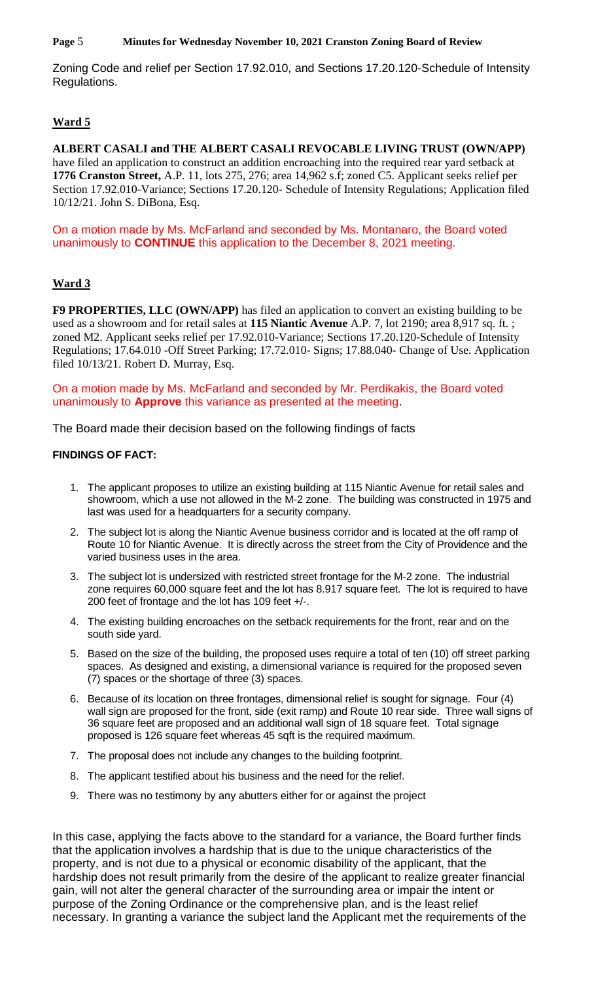**Page** 5 **Minutes for Wednesday November 10, 2021 Cranston Zoning Board of Review**

Zoning Code and relief per Section 17.92.010, and Sections 17.20.120-Schedule of Intensity Regulations.

# **Ward 5**

**ALBERT CASALI and THE ALBERT CASALI REVOCABLE LIVING TRUST (OWN/APP)**  have filed an application to construct an addition encroaching into the required rear yard setback at **1776 Cranston Street,** A.P. 11, lots 275, 276; area 14,962 s.f; zoned C5. Applicant seeks relief per Section 17.92.010-Variance; Sections 17.20.120- Schedule of Intensity Regulations; Application filed 10/12/21. John S. DiBona, Esq.

On a motion made by Ms. McFarland and seconded by Ms. Montanaro, the Board voted unanimously to **CONTINUE** this application to the December 8, 2021 meeting.

# **Ward 3**

**F9 PROPERTIES, LLC (OWN/APP)** has filed an application to convert an existing building to be used as a showroom and for retail sales at **115 Niantic Avenue** A.P. 7, lot 2190; area 8,917 sq. ft. ; zoned M2. Applicant seeks relief per 17.92.010-Variance; Sections 17.20.120-Schedule of Intensity Regulations; 17.64.010 -Off Street Parking; 17.72.010- Signs; 17.88.040- Change of Use. Application filed 10/13/21. Robert D. Murray, Esq.

On a motion made by Ms. McFarland and seconded by Mr. Perdikakis, the Board voted unanimously to **Approve** this variance as presented at the meeting.

The Board made their decision based on the following findings of facts

## **FINDINGS OF FACT:**

- 1. The applicant proposes to utilize an existing building at 115 Niantic Avenue for retail sales and showroom, which a use not allowed in the M-2 zone. The building was constructed in 1975 and last was used for a headquarters for a security company.
- 2. The subject lot is along the Niantic Avenue business corridor and is located at the off ramp of Route 10 for Niantic Avenue. It is directly across the street from the City of Providence and the varied business uses in the area.
- 3. The subject lot is undersized with restricted street frontage for the M-2 zone. The industrial zone requires 60,000 square feet and the lot has 8.917 square feet. The lot is required to have 200 feet of frontage and the lot has 109 feet +/-.
- 4. The existing building encroaches on the setback requirements for the front, rear and on the south side yard.
- 5. Based on the size of the building, the proposed uses require a total of ten (10) off street parking spaces. As designed and existing, a dimensional variance is required for the proposed seven (7) spaces or the shortage of three (3) spaces.
- 6. Because of its location on three frontages, dimensional relief is sought for signage. Four (4) wall sign are proposed for the front, side (exit ramp) and Route 10 rear side. Three wall signs of 36 square feet are proposed and an additional wall sign of 18 square feet. Total signage proposed is 126 square feet whereas 45 sqft is the required maximum.
- 7. The proposal does not include any changes to the building footprint.
- 8. The applicant testified about his business and the need for the relief.
- 9. There was no testimony by any abutters either for or against the project

In this case, applying the facts above to the standard for a variance, the Board further finds that the application involves a hardship that is due to the unique characteristics of the property, and is not due to a physical or economic disability of the applicant, that the hardship does not result primarily from the desire of the applicant to realize greater financial gain, will not alter the general character of the surrounding area or impair the intent or purpose of the Zoning Ordinance or the comprehensive plan, and is the least relief necessary. In granting a variance the subject land the Applicant met the requirements of the